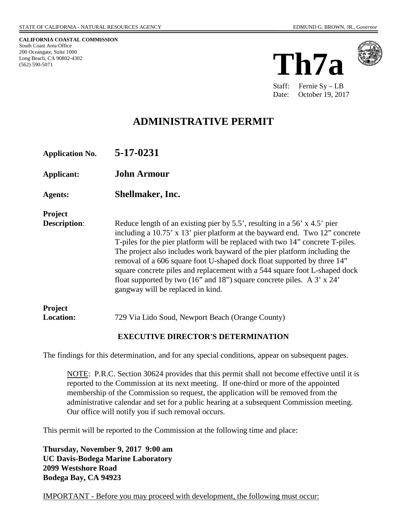**CALIFORNIA COASTAL COMMISSION**

South Coast Area Office 200 Oceangate, Suite 1000 Long Beach, CA 90802-4302

(562) 590-5071

**Th7a**



Staff: Fernie Sy – LB Date: October 19, 2017

# **ADMINISTRATIVE PERMIT**

| Reduce length of an existing pier by $5.5'$ , resulting in a $56'$ x $4.5'$ pier<br>including a 10.75' x 13' pier platform at the bayward end. Two 12" concrete<br>T-piles for the pier platform will be replaced with two 14" concrete T-piles.<br>The project also includes work bayward of the pier platform including the<br>removal of a 606 square foot U-shaped dock float supported by three 14"<br>square concrete piles and replacement with a 544 square foot L-shaped dock<br>float supported by two (16" and 18") square concrete piles. A 3' x 24' |
|------------------------------------------------------------------------------------------------------------------------------------------------------------------------------------------------------------------------------------------------------------------------------------------------------------------------------------------------------------------------------------------------------------------------------------------------------------------------------------------------------------------------------------------------------------------|
| 729 Via Lido Soud, Newport Beach (Orange County)                                                                                                                                                                                                                                                                                                                                                                                                                                                                                                                 |
|                                                                                                                                                                                                                                                                                                                                                                                                                                                                                                                                                                  |

### **EXECUTIVE DIRECTOR'S DETERMINATION**

The findings for this determination, and for any special conditions, appear on subsequent pages.

NOTE: P.R.C. Section 30624 provides that this permit shall not become effective until it is reported to the Commission at its next meeting. If one-third or more of the appointed membership of the Commission so request, the application will be removed from the administrative calendar and set for a public hearing at a subsequent Commission meeting. Our office will notify you if such removal occurs.

This permit will be reported to the Commission at the following time and place:

**Thursday, November 9, 2017 9:00 am UC Davis-Bodega Marine Laboratory 2099 Westshore Road Bodega Bay, CA 94923** 

IMPORTANT - Before you may proceed with development, the following must occur: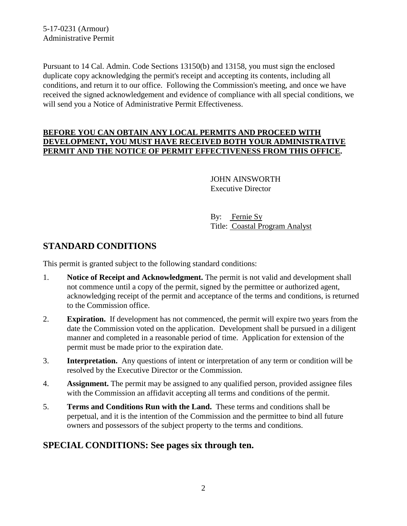5-17-0231 (Armour) Administrative Permit

Pursuant to 14 Cal. Admin. Code Sections 13150(b) and 13158, you must sign the enclosed duplicate copy acknowledging the permit's receipt and accepting its contents, including all conditions, and return it to our office. Following the Commission's meeting, and once we have received the signed acknowledgement and evidence of compliance with all special conditions, we will send you a Notice of Administrative Permit Effectiveness.

#### **BEFORE YOU CAN OBTAIN ANY LOCAL PERMITS AND PROCEED WITH DEVELOPMENT, YOU MUST HAVE RECEIVED BOTH YOUR ADMINISTRATIVE PERMIT AND THE NOTICE OF PERMIT EFFECTIVENESS FROM THIS OFFICE.**

 JOHN AINSWORTH Executive Director

 By: Fernie Sy Title: Coastal Program Analyst

# **STANDARD CONDITIONS**

This permit is granted subject to the following standard conditions:

- 1. **Notice of Receipt and Acknowledgment.** The permit is not valid and development shall not commence until a copy of the permit, signed by the permittee or authorized agent, acknowledging receipt of the permit and acceptance of the terms and conditions, is returned to the Commission office.
- 2. **Expiration.** If development has not commenced, the permit will expire two years from the date the Commission voted on the application. Development shall be pursued in a diligent manner and completed in a reasonable period of time. Application for extension of the permit must be made prior to the expiration date.
- 3. **Interpretation.** Any questions of intent or interpretation of any term or condition will be resolved by the Executive Director or the Commission.
- 4. **Assignment.** The permit may be assigned to any qualified person, provided assignee files with the Commission an affidavit accepting all terms and conditions of the permit.
- 5. **Terms and Conditions Run with the Land.** These terms and conditions shall be perpetual, and it is the intention of the Commission and the permittee to bind all future owners and possessors of the subject property to the terms and conditions.

# **SPECIAL CONDITIONS: See pages six through ten.**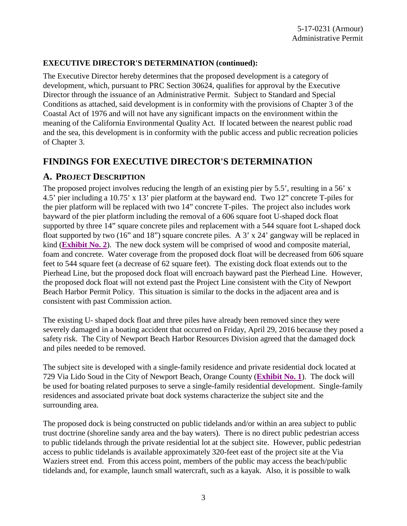#### **EXECUTIVE DIRECTOR'S DETERMINATION (continued):**

The Executive Director hereby determines that the proposed development is a category of development, which, pursuant to PRC Section 30624, qualifies for approval by the Executive Director through the issuance of an Administrative Permit. Subject to Standard and Special Conditions as attached, said development is in conformity with the provisions of Chapter 3 of the Coastal Act of 1976 and will not have any significant impacts on the environment within the meaning of the California Environmental Quality Act. If located between the nearest public road and the sea, this development is in conformity with the public access and public recreation policies of Chapter 3.

### **FINDINGS FOR EXECUTIVE DIRECTOR'S DETERMINATION**

### **A. PROJECT DESCRIPTION**

The proposed project involves reducing the length of an existing pier by 5.5', resulting in a 56' x 4.5' pier including a 10.75' x 13' pier platform at the bayward end. Two 12" concrete T-piles for the pier platform will be replaced with two 14" concrete T-piles. The project also includes work bayward of the pier platform including the removal of a 606 square foot U-shaped dock float supported by three 14" square concrete piles and replacement with a 544 square foot L-shaped dock float supported by two  $(16"$  and  $18"$ ) square concrete piles. A 3' x 24' gangway will be replaced in kind (**[Exhibit No. 2](https://documents.coastal.ca.gov/reports/2017/11/Th7a/Th7a-11-2017-exhibits.pdf)**). The new dock system will be comprised of wood and composite material, foam and concrete. Water coverage from the proposed dock float will be decreased from 606 square feet to 544 square feet (a decrease of 62 square feet). The existing dock float extends out to the Pierhead Line, but the proposed dock float will encroach bayward past the Pierhead Line. However, the proposed dock float will not extend past the Project Line consistent with the City of Newport Beach Harbor Permit Policy. This situation is similar to the docks in the adjacent area and is consistent with past Commission action.

The existing U- shaped dock float and three piles have already been removed since they were severely damaged in a boating accident that occurred on Friday, April 29, 2016 because they posed a safety risk. The City of Newport Beach Harbor Resources Division agreed that the damaged dock and piles needed to be removed.

The subject site is developed with a single-family residence and private residential dock located at 729 Via Lido Soud in the City of Newport Beach, Orange County (**[Exhibit No. 1](https://documents.coastal.ca.gov/reports/2017/11/Th7a/Th7a-11-2017-exhibits.pdf)**). The dock will be used for boating related purposes to serve a single-family residential development. Single-family residences and associated private boat dock systems characterize the subject site and the surrounding area.

The proposed dock is being constructed on public tidelands and/or within an area subject to public trust doctrine (shoreline sandy area and the bay waters). There is no direct public pedestrian access to public tidelands through the private residential lot at the subject site. However, public pedestrian access to public tidelands is available approximately 320-feet east of the project site at the Via Waziers street end. From this access point, members of the public may access the beach/public tidelands and, for example, launch small watercraft, such as a kayak. Also, it is possible to walk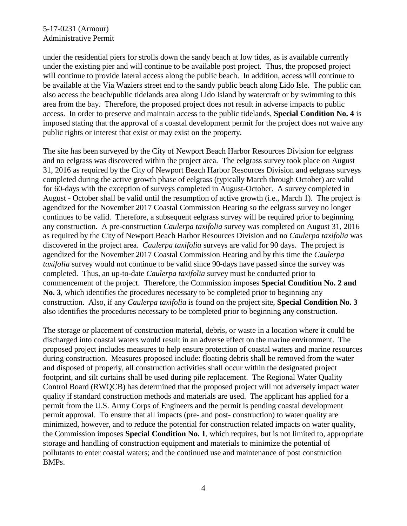### 5-17-0231 (Armour) Administrative Permit

under the residential piers for strolls down the sandy beach at low tides, as is available currently under the existing pier and will continue to be available post project. Thus, the proposed project will continue to provide lateral access along the public beach. In addition, access will continue to be available at the Via Waziers street end to the sandy public beach along Lido Isle. The public can also access the beach/public tidelands area along Lido Island by watercraft or by swimming to this area from the bay. Therefore, the proposed project does not result in adverse impacts to public access. In order to preserve and maintain access to the public tidelands, **Special Condition No. 4** is imposed stating that the approval of a coastal development permit for the project does not waive any public rights or interest that exist or may exist on the property.

The site has been surveyed by the City of Newport Beach Harbor Resources Division for eelgrass and no eelgrass was discovered within the project area. The eelgrass survey took place on August 31, 2016 as required by the City of Newport Beach Harbor Resources Division and eelgrass surveys completed during the active growth phase of eelgrass (typically March through October) are valid for 60-days with the exception of surveys completed in August-October. A survey completed in August - October shall be valid until the resumption of active growth (i.e., March 1). The project is agendized for the November 2017 Coastal Commission Hearing so the eelgrass survey no longer continues to be valid. Therefore, a subsequent eelgrass survey will be required prior to beginning any construction. A pre-construction *Caulerpa taxifolia* survey was completed on August 31, 2016 as required by the City of Newport Beach Harbor Resources Division and no *Caulerpa taxifolia* was discovered in the project area. *Caulerpa taxifolia* surveys are valid for 90 days. The project is agendized for the November 2017 Coastal Commission Hearing and by this time the *Caulerpa taxifolia* survey would not continue to be valid since 90-days have passed since the survey was completed. Thus, an up-to-date *Caulerpa taxifolia* survey must be conducted prior to commencement of the project. Therefore, the Commission imposes **Special Condition No. 2 and No. 3**, which identifies the procedures necessary to be completed prior to beginning any construction. Also, if any *Caulerpa taxifolia* is found on the project site, **Special Condition No. 3** also identifies the procedures necessary to be completed prior to beginning any construction.

The storage or placement of construction material, debris, or waste in a location where it could be discharged into coastal waters would result in an adverse effect on the marine environment. The proposed project includes measures to help ensure protection of coastal waters and marine resources during construction. Measures proposed include: floating debris shall be removed from the water and disposed of properly, all construction activities shall occur within the designated project footprint, and silt curtains shall be used during pile replacement. The Regional Water Quality Control Board (RWQCB) has determined that the proposed project will not adversely impact water quality if standard construction methods and materials are used. The applicant has applied for a permit from the U.S. Army Corps of Engineers and the permit is pending coastal development permit approval. To ensure that all impacts (pre- and post- construction) to water quality are minimized, however, and to reduce the potential for construction related impacts on water quality, the Commission imposes **Special Condition No. 1**, which requires, but is not limited to, appropriate storage and handling of construction equipment and materials to minimize the potential of pollutants to enter coastal waters; and the continued use and maintenance of post construction BMPs.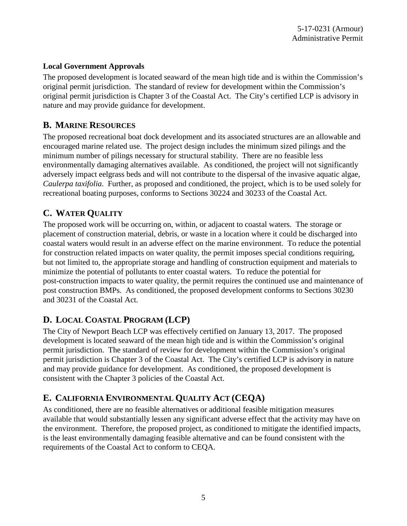### **Local Government Approvals**

The proposed development is located seaward of the mean high tide and is within the Commission's original permit jurisdiction. The standard of review for development within the Commission's original permit jurisdiction is Chapter 3 of the Coastal Act. The City's certified LCP is advisory in nature and may provide guidance for development.

### **B. MARINE RESOURCES**

The proposed recreational boat dock development and its associated structures are an allowable and encouraged marine related use. The project design includes the minimum sized pilings and the minimum number of pilings necessary for structural stability. There are no feasible less environmentally damaging alternatives available. As conditioned, the project will not significantly adversely impact eelgrass beds and will not contribute to the dispersal of the invasive aquatic algae, *Caulerpa taxifolia*. Further, as proposed and conditioned, the project, which is to be used solely for recreational boating purposes, conforms to Sections 30224 and 30233 of the Coastal Act.

# **C. WATER QUALITY**

The proposed work will be occurring on, within, or adjacent to coastal waters. The storage or placement of construction material, debris, or waste in a location where it could be discharged into coastal waters would result in an adverse effect on the marine environment. To reduce the potential for construction related impacts on water quality, the permit imposes special conditions requiring, but not limited to, the appropriate storage and handling of construction equipment and materials to minimize the potential of pollutants to enter coastal waters. To reduce the potential for post-construction impacts to water quality, the permit requires the continued use and maintenance of post construction BMPs. As conditioned, the proposed development conforms to Sections 30230 and 30231 of the Coastal Act.

# **D. LOCAL COASTAL PROGRAM (LCP)**

The City of Newport Beach LCP was effectively certified on January 13, 2017. The proposed development is located seaward of the mean high tide and is within the Commission's original permit jurisdiction. The standard of review for development within the Commission's original permit jurisdiction is Chapter 3 of the Coastal Act. The City's certified LCP is advisory in nature and may provide guidance for development. As conditioned, the proposed development is consistent with the Chapter 3 policies of the Coastal Act.

# **E. CALIFORNIA ENVIRONMENTAL QUALITY ACT (CEQA)**

As conditioned, there are no feasible alternatives or additional feasible mitigation measures available that would substantially lessen any significant adverse effect that the activity may have on the environment. Therefore, the proposed project, as conditioned to mitigate the identified impacts, is the least environmentally damaging feasible alternative and can be found consistent with the requirements of the Coastal Act to conform to CEQA.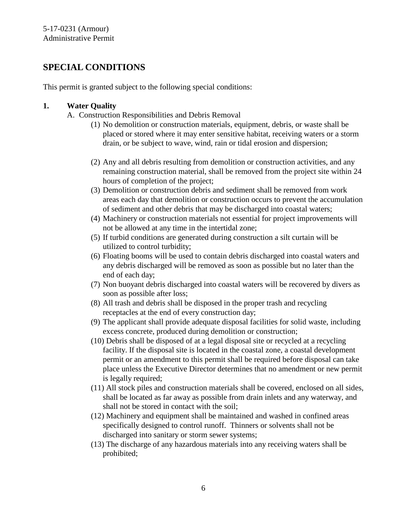# **SPECIAL CONDITIONS**

This permit is granted subject to the following special conditions:

### **1. Water Quality**

- A. Construction Responsibilities and Debris Removal
	- (1) No demolition or construction materials, equipment, debris, or waste shall be placed or stored where it may enter sensitive habitat, receiving waters or a storm drain, or be subject to wave, wind, rain or tidal erosion and dispersion;
	- (2) Any and all debris resulting from demolition or construction activities, and any remaining construction material, shall be removed from the project site within 24 hours of completion of the project;
	- (3) Demolition or construction debris and sediment shall be removed from work areas each day that demolition or construction occurs to prevent the accumulation of sediment and other debris that may be discharged into coastal waters;
	- (4) Machinery or construction materials not essential for project improvements will not be allowed at any time in the intertidal zone;
	- (5) If turbid conditions are generated during construction a silt curtain will be utilized to control turbidity;
	- (6) Floating booms will be used to contain debris discharged into coastal waters and any debris discharged will be removed as soon as possible but no later than the end of each day;
	- (7) Non buoyant debris discharged into coastal waters will be recovered by divers as soon as possible after loss;
	- (8) All trash and debris shall be disposed in the proper trash and recycling receptacles at the end of every construction day;
	- (9) The applicant shall provide adequate disposal facilities for solid waste, including excess concrete, produced during demolition or construction;
	- (10) Debris shall be disposed of at a legal disposal site or recycled at a recycling facility. If the disposal site is located in the coastal zone, a coastal development permit or an amendment to this permit shall be required before disposal can take place unless the Executive Director determines that no amendment or new permit is legally required;
	- (11) All stock piles and construction materials shall be covered, enclosed on all sides, shall be located as far away as possible from drain inlets and any waterway, and shall not be stored in contact with the soil;
	- (12) Machinery and equipment shall be maintained and washed in confined areas specifically designed to control runoff. Thinners or solvents shall not be discharged into sanitary or storm sewer systems;
	- (13) The discharge of any hazardous materials into any receiving waters shall be prohibited;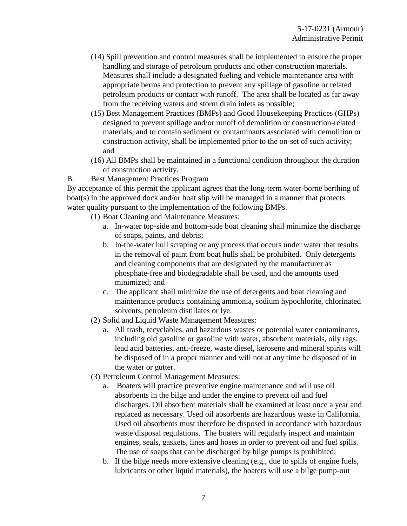- (14) Spill prevention and control measures shall be implemented to ensure the proper handling and storage of petroleum products and other construction materials. Measures shall include a designated fueling and vehicle maintenance area with appropriate berms and protection to prevent any spillage of gasoline or related petroleum products or contact with runoff. The area shall be located as far away from the receiving waters and storm drain inlets as possible;
- (15) Best Management Practices (BMPs) and Good Housekeeping Practices (GHPs) designed to prevent spillage and/or runoff of demolition or construction-related materials, and to contain sediment or contaminants associated with demolition or construction activity, shall be implemented prior to the on-set of such activity; and
- (16) All BMPs shall be maintained in a functional condition throughout the duration of construction activity.
- B. Best Management Practices Program

By acceptance of this permit the applicant agrees that the long-term water-borne berthing of boat(s) in the approved dock and/or boat slip will be managed in a manner that protects water quality pursuant to the implementation of the following BMPs.

- (1) Boat Cleaning and Maintenance Measures:
	- a. In-water top-side and bottom-side boat cleaning shall minimize the discharge of soaps, paints, and debris;
	- b. In-the-water hull scraping or any process that occurs under water that results in the removal of paint from boat hulls shall be prohibited. Only detergents and cleaning components that are designated by the manufacturer as phosphate-free and biodegradable shall be used, and the amounts used minimized; and
	- c. The applicant shall minimize the use of detergents and boat cleaning and maintenance products containing ammonia, sodium hypochlorite, chlorinated solvents, petroleum distillates or lye.
- (2) Solid and Liquid Waste Management Measures:
	- a. All trash, recyclables, and hazardous wastes or potential water contaminants, including old gasoline or gasoline with water, absorbent materials, oily rags, lead acid batteries, anti-freeze, waste diesel, kerosene and mineral spirits will be disposed of in a proper manner and will not at any time be disposed of in the water or gutter.
- (3) Petroleum Control Management Measures:
	- a. Boaters will practice preventive engine maintenance and will use oil absorbents in the bilge and under the engine to prevent oil and fuel discharges. Oil absorbent materials shall be examined at least once a year and replaced as necessary. Used oil absorbents are hazardous waste in California. Used oil absorbents must therefore be disposed in accordance with hazardous waste disposal regulations. The boaters will regularly inspect and maintain engines, seals, gaskets, lines and hoses in order to prevent oil and fuel spills. The use of soaps that can be discharged by bilge pumps is prohibited;
	- b. If the bilge needs more extensive cleaning (e.g., due to spills of engine fuels, lubricants or other liquid materials), the boaters will use a bilge pump-out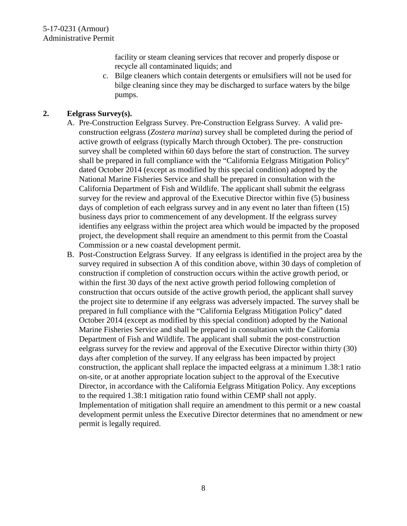facility or steam cleaning services that recover and properly dispose or recycle all contaminated liquids; and

c. Bilge cleaners which contain detergents or emulsifiers will not be used for bilge cleaning since they may be discharged to surface waters by the bilge pumps.

#### **2. Eelgrass Survey(s).**

- A. Pre-Construction Eelgrass Survey. Pre-Construction Eelgrass Survey. A valid preconstruction eelgrass (*Zostera marina*) survey shall be completed during the period of active growth of eelgrass (typically March through October). The pre- construction survey shall be completed within 60 days before the start of construction. The survey shall be prepared in full compliance with the "California Eelgrass Mitigation Policy" dated October 2014 (except as modified by this special condition) adopted by the National Marine Fisheries Service and shall be prepared in consultation with the California Department of Fish and Wildlife. The applicant shall submit the eelgrass survey for the review and approval of the Executive Director within five (5) business days of completion of each eelgrass survey and in any event no later than fifteen (15) business days prior to commencement of any development. If the eelgrass survey identifies any eelgrass within the project area which would be impacted by the proposed project, the development shall require an amendment to this permit from the Coastal Commission or a new coastal development permit.
- B. Post-Construction Eelgrass Survey. If any eelgrass is identified in the project area by the survey required in subsection A of this condition above, within 30 days of completion of construction if completion of construction occurs within the active growth period, or within the first 30 days of the next active growth period following completion of construction that occurs outside of the active growth period, the applicant shall survey the project site to determine if any eelgrass was adversely impacted. The survey shall be prepared in full compliance with the "California Eelgrass Mitigation Policy" dated October 2014 (except as modified by this special condition) adopted by the National Marine Fisheries Service and shall be prepared in consultation with the California Department of Fish and Wildlife. The applicant shall submit the post-construction eelgrass survey for the review and approval of the Executive Director within thirty (30) days after completion of the survey. If any eelgrass has been impacted by project construction, the applicant shall replace the impacted eelgrass at a minimum 1.38:1 ratio on-site, or at another appropriate location subject to the approval of the Executive Director, in accordance with the California Eelgrass Mitigation Policy. Any exceptions to the required 1.38:1 mitigation ratio found within CEMP shall not apply. Implementation of mitigation shall require an amendment to this permit or a new coastal development permit unless the Executive Director determines that no amendment or new permit is legally required.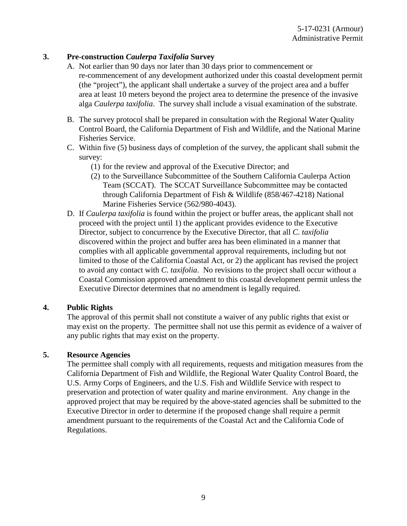#### **3. Pre-construction** *Caulerpa Taxifolia* **Survey**

- A. Not earlier than 90 days nor later than 30 days prior to commencement or re-commencement of any development authorized under this coastal development permit (the "project"), the applicant shall undertake a survey of the project area and a buffer area at least 10 meters beyond the project area to determine the presence of the invasive alga *Caulerpa taxifolia*. The survey shall include a visual examination of the substrate.
- B. The survey protocol shall be prepared in consultation with the Regional Water Quality Control Board, the California Department of Fish and Wildlife, and the National Marine Fisheries Service.
- C. Within five (5) business days of completion of the survey, the applicant shall submit the survey:
	- (1) for the review and approval of the Executive Director; and
	- (2) to the Surveillance Subcommittee of the Southern California Caulerpa Action Team (SCCAT). The SCCAT Surveillance Subcommittee may be contacted through California Department of Fish & Wildlife (858/467-4218) National Marine Fisheries Service (562/980-4043).
- D. If *Caulerpa taxifolia* is found within the project or buffer areas, the applicant shall not proceed with the project until 1) the applicant provides evidence to the Executive Director, subject to concurrence by the Executive Director, that all *C. taxifolia* discovered within the project and buffer area has been eliminated in a manner that complies with all applicable governmental approval requirements, including but not limited to those of the California Coastal Act, or 2) the applicant has revised the project to avoid any contact with *C. taxifolia*. No revisions to the project shall occur without a Coastal Commission approved amendment to this coastal development permit unless the Executive Director determines that no amendment is legally required.

#### **4. Public Rights**

The approval of this permit shall not constitute a waiver of any public rights that exist or may exist on the property. The permittee shall not use this permit as evidence of a waiver of any public rights that may exist on the property.

#### **5. Resource Agencies**

The permittee shall comply with all requirements, requests and mitigation measures from the California Department of Fish and Wildlife, the Regional Water Quality Control Board, the U.S. Army Corps of Engineers, and the U.S. Fish and Wildlife Service with respect to preservation and protection of water quality and marine environment. Any change in the approved project that may be required by the above-stated agencies shall be submitted to the Executive Director in order to determine if the proposed change shall require a permit amendment pursuant to the requirements of the Coastal Act and the California Code of Regulations.